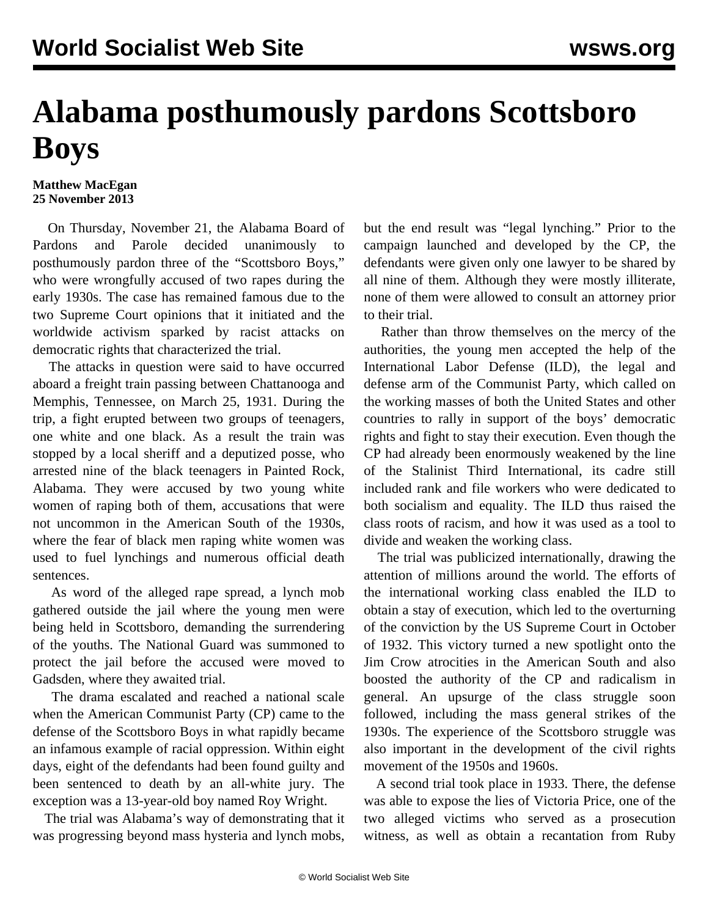## **Alabama posthumously pardons Scottsboro Boys**

## **Matthew MacEgan 25 November 2013**

 On Thursday, November 21, the Alabama Board of Pardons and Parole decided unanimously to posthumously pardon three of the "Scottsboro Boys," who were wrongfully accused of two rapes during the early 1930s. The case has remained famous due to the two Supreme Court opinions that it initiated and the worldwide activism sparked by racist attacks on democratic rights that characterized the trial.

 The attacks in question were said to have occurred aboard a freight train passing between Chattanooga and Memphis, Tennessee, on March 25, 1931. During the trip, a fight erupted between two groups of teenagers, one white and one black. As a result the train was stopped by a local sheriff and a deputized posse, who arrested nine of the black teenagers in Painted Rock, Alabama. They were accused by two young white women of raping both of them, accusations that were not uncommon in the American South of the 1930s, where the fear of black men raping white women was used to fuel lynchings and numerous official death sentences.

 As word of the alleged rape spread, a lynch mob gathered outside the jail where the young men were being held in Scottsboro, demanding the surrendering of the youths. The National Guard was summoned to protect the jail before the accused were moved to Gadsden, where they awaited trial.

 The drama escalated and reached a national scale when the American Communist Party (CP) came to the defense of the Scottsboro Boys in what rapidly became an infamous example of racial oppression. Within eight days, eight of the defendants had been found guilty and been sentenced to death by an all-white jury. The exception was a 13-year-old boy named Roy Wright.

 The trial was Alabama's way of demonstrating that it was progressing beyond mass hysteria and lynch mobs,

but the end result was "legal lynching." Prior to the campaign launched and developed by the CP, the defendants were given only one lawyer to be shared by all nine of them. Although they were mostly illiterate, none of them were allowed to consult an attorney prior to their trial.

 Rather than throw themselves on the mercy of the authorities, the young men accepted the help of the International Labor Defense (ILD), the legal and defense arm of the Communist Party, which called on the working masses of both the United States and other countries to rally in support of the boys' democratic rights and fight to stay their execution. Even though the CP had already been enormously weakened by the line of the Stalinist Third International, its cadre still included rank and file workers who were dedicated to both socialism and equality. The ILD thus raised the class roots of racism, and how it was used as a tool to divide and weaken the working class.

 The trial was publicized internationally, drawing the attention of millions around the world. The efforts of the international working class enabled the ILD to obtain a stay of execution, which led to the overturning of the conviction by the US Supreme Court in October of 1932. This victory turned a new spotlight onto the Jim Crow atrocities in the American South and also boosted the authority of the CP and radicalism in general. An upsurge of the class struggle soon followed, including the mass general strikes of the 1930s. The experience of the Scottsboro struggle was also important in the development of the civil rights movement of the 1950s and 1960s.

 A second trial took place in 1933. There, the defense was able to expose the lies of Victoria Price, one of the two alleged victims who served as a prosecution witness, as well as obtain a recantation from Ruby